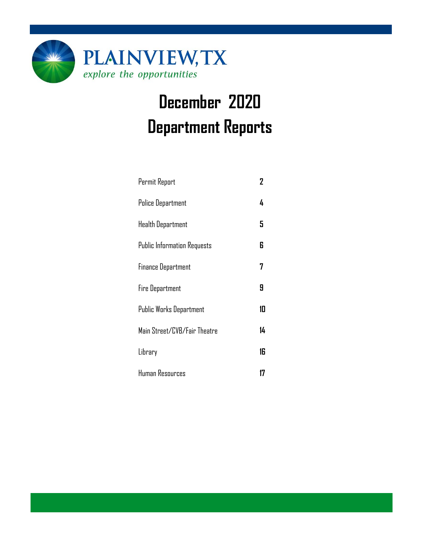

# **December 2020 Department Reports**

| Permit Report                      | 2  |
|------------------------------------|----|
| <b>Police Department</b>           | 4  |
| Health Department                  | 5  |
| <b>Public Information Requests</b> | 6  |
| <b>Finance Department</b>          | 7  |
| <b>Fire Department</b>             | 9  |
| Public Works Department            | 10 |
| Main Street/CVB/Fair Theatre       | 14 |
| Library                            | 16 |
| Human Resources                    | 17 |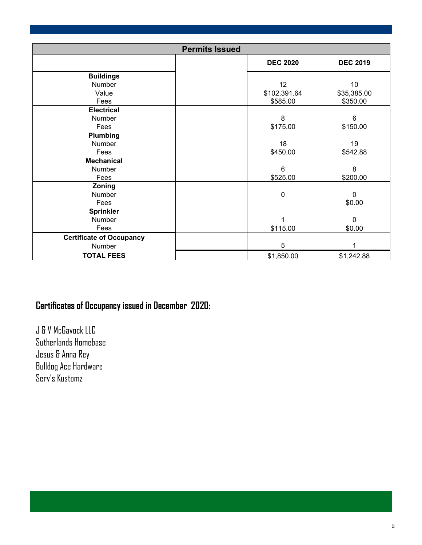| <b>Permits Issued</b>           |                 |                 |  |  |  |
|---------------------------------|-----------------|-----------------|--|--|--|
|                                 | <b>DEC 2020</b> | <b>DEC 2019</b> |  |  |  |
| <b>Buildings</b>                |                 |                 |  |  |  |
| Number                          | 12              | 10              |  |  |  |
| Value                           | \$102,391.64    | \$35,385.00     |  |  |  |
| Fees                            | \$585.00        | \$350.00        |  |  |  |
| <b>Electrical</b>               |                 |                 |  |  |  |
| Number                          | 8               | 6               |  |  |  |
| Fees                            | \$175.00        | \$150.00        |  |  |  |
| Plumbing                        |                 |                 |  |  |  |
| Number                          | 18              | 19              |  |  |  |
| Fees                            | \$450.00        | \$542.88        |  |  |  |
| <b>Mechanical</b>               |                 |                 |  |  |  |
| Number                          | 6               | 8               |  |  |  |
| Fees                            | \$525.00        | \$200.00        |  |  |  |
| Zoning                          |                 |                 |  |  |  |
| Number                          | 0               | $\mathbf 0$     |  |  |  |
| Fees                            |                 | \$0.00          |  |  |  |
| <b>Sprinkler</b>                |                 |                 |  |  |  |
| Number                          | 1               | $\overline{0}$  |  |  |  |
| Fees                            | \$115.00        | \$0.00          |  |  |  |
| <b>Certificate of Occupancy</b> |                 |                 |  |  |  |
| Number                          | 5               |                 |  |  |  |
| <b>TOTAL FEES</b>               | \$1,850.00      | \$1,242.88      |  |  |  |

### **Certificates of Occupancy issued in December 2020:**

J & V McGavock LLC Sutherlands Homebase Jesus & Anna Rey Bulldog Ace Hardware Serv's Kustomz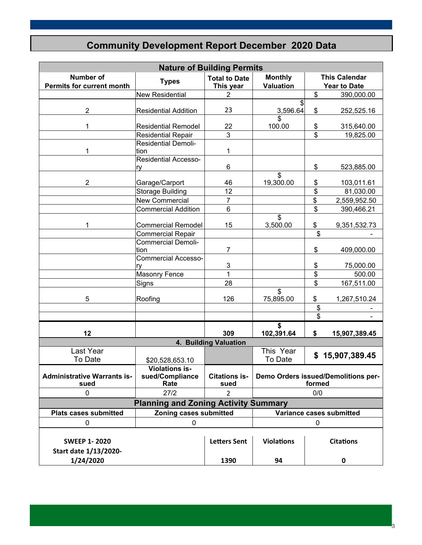### **Community Development Report December 2020 Data**

|                                                                                    | <b>Nature of Building Permits</b>                |                                   |                                               |                  |                                             |  |  |  |
|------------------------------------------------------------------------------------|--------------------------------------------------|-----------------------------------|-----------------------------------------------|------------------|---------------------------------------------|--|--|--|
| <b>Number of</b><br><b>Permits for current month</b>                               | <b>Types</b>                                     | <b>Total to Date</b><br>This year | <b>Monthly</b><br><b>Valuation</b>            |                  | <b>This Calendar</b><br><b>Year to Date</b> |  |  |  |
|                                                                                    | <b>New Residential</b>                           | 2                                 |                                               | \$               | 390,000.00                                  |  |  |  |
| $\overline{2}$                                                                     | <b>Residential Addition</b>                      | 23                                | \$<br>3,596.64                                | \$               | 252,525.16                                  |  |  |  |
| 1                                                                                  | <b>Residential Remodel</b>                       |                                   | \$<br>100.00                                  | \$               | 315,640.00                                  |  |  |  |
|                                                                                    | <b>Residential Repair</b>                        | 3                                 |                                               | \$               | 19,825.00                                   |  |  |  |
| 1                                                                                  | <b>Residential Demoli-</b><br>tion               | 1                                 |                                               |                  |                                             |  |  |  |
|                                                                                    | <b>Residential Accesso-</b><br>ry                | 6                                 |                                               | \$               | 523,885.00                                  |  |  |  |
| $\overline{2}$                                                                     | Garage/Carport                                   | 46                                | \$<br>19,300.00                               | \$               | 103,011.61                                  |  |  |  |
|                                                                                    | <b>Storage Building</b>                          | 12                                |                                               | \$               | 81,030.00                                   |  |  |  |
|                                                                                    | <b>New Commercial</b>                            | $\overline{7}$                    |                                               | \$               | 2,559,952.50                                |  |  |  |
|                                                                                    | <b>Commercial Addition</b>                       | 6                                 |                                               | \$               | 390,466.21                                  |  |  |  |
| 1                                                                                  | <b>Commercial Remodel</b>                        | 15                                | \$<br>3,500.00                                | \$               | 9,351,532.73                                |  |  |  |
|                                                                                    | <b>Commercial Repair</b>                         |                                   |                                               | \$               |                                             |  |  |  |
|                                                                                    | <b>Commercial Demoli-</b>                        |                                   |                                               |                  |                                             |  |  |  |
| tion                                                                               |                                                  | 7                                 |                                               | \$               | 409,000.00                                  |  |  |  |
|                                                                                    | <b>Commercial Accesso-</b><br>ry                 | 3                                 |                                               | \$               | 75,000.00                                   |  |  |  |
|                                                                                    | <b>Masonry Fence</b>                             | $\mathbf{1}$                      |                                               | \$               | 500.00                                      |  |  |  |
|                                                                                    | Signs                                            | 28                                |                                               | \$               | 167,511.00                                  |  |  |  |
| 5                                                                                  | Roofing                                          | 126                               | \$<br>75,895.00                               | \$               | 1,267,510.24                                |  |  |  |
|                                                                                    |                                                  |                                   |                                               | \$               |                                             |  |  |  |
|                                                                                    |                                                  |                                   |                                               | \$               |                                             |  |  |  |
| 12                                                                                 |                                                  | 309                               | \$<br>102,391.64                              | \$               | 15,907,389.45                               |  |  |  |
|                                                                                    |                                                  | 4. Building Valuation             |                                               |                  |                                             |  |  |  |
| Last Year<br>To Date                                                               | \$20,528,653.10                                  |                                   | This Year<br>To Date                          | \$               | 15,907,389.45                               |  |  |  |
| <b>Administrative Warrants is-</b><br>sued                                         | <b>Violations is-</b><br>sued/Compliance<br>Rate | <b>Citations is-</b><br>sued      | Demo Orders issued/Demolitions per-<br>formed |                  |                                             |  |  |  |
| 0                                                                                  | 27/2                                             | 2                                 |                                               | 0/0              |                                             |  |  |  |
|                                                                                    | <b>Planning and Zoning Activity Summary</b>      |                                   |                                               |                  |                                             |  |  |  |
| <b>Plats cases submitted</b><br>Zoning cases submitted<br>Variance cases submitted |                                                  |                                   |                                               |                  |                                             |  |  |  |
| 0                                                                                  | 0                                                |                                   |                                               | $\mathbf 0$      |                                             |  |  |  |
| <b>SWEEP 1-2020</b><br>Start date 1/13/2020-                                       |                                                  | <b>Letters Sent</b>               | <b>Violations</b>                             | <b>Citations</b> |                                             |  |  |  |
| 1/24/2020                                                                          |                                                  | 1390                              | 94                                            |                  | 0                                           |  |  |  |

3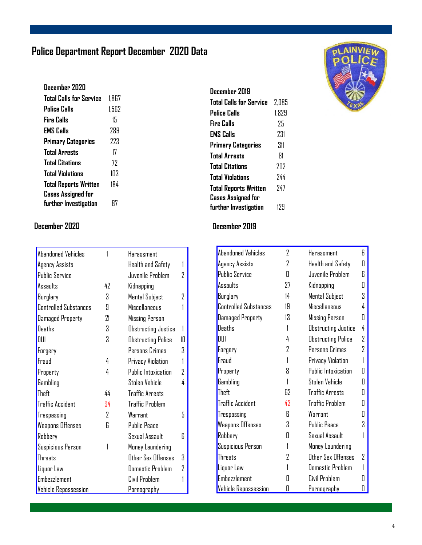### **Police Department Report December 2020 Data**

| December 2020                |       |
|------------------------------|-------|
| Total Calls for Service      | 1.867 |
| Police Calls                 | 1.562 |
| Fire Calls                   | 15    |
| <b>EMS Calls</b>             | 289   |
| <b>Primary Categories</b>    | 223   |
| <b>Total Arrests</b>         | 17    |
| <b>Total Citations</b>       | 77    |
| <b>Total Violations</b>      | 103   |
| <b>Total Reports Written</b> | 184   |
| <b>Cases Assigned for</b>    |       |
| further Investigation        | 87    |

| <b>Abandoned Vehicles</b>    |    | Harassment                 |    |
|------------------------------|----|----------------------------|----|
| Agency Assists               |    | Health and Safety          |    |
| Public Service               |    | Juvenile Problem           | 7  |
| Assaults                     | 42 | Kidnapping                 |    |
| Burglary                     | S. | Mental Subject             | 7  |
| <b>Controlled Substances</b> | 9  | Miscellaneous              |    |
| Damaged Property             | 21 | <b>Missing Person</b>      |    |
| <b>Deaths</b>                | Χ  | <b>Obstructing Justice</b> |    |
| DUI                          | 3  | <b>Obstructing Police</b>  | 1П |
| Forgery                      |    | Persons Crimes             | Χ  |
| Fraud                        | 4  | Privacy Violation          |    |
| Property                     | 4  | Public Intoxication        | 2  |
| Gambling                     |    | Stolen Vehicle             | 4  |
| Theft                        | 44 | <b>Traffic Arrests</b>     |    |
| <b>Traffic Accident</b>      | 34 | <b>Traffic Problem</b>     |    |
| Trespassing                  | 7  | Warrant                    | 5  |
| <b>Weapons Offenses</b>      | R  | <b>Public Peace</b>        |    |
| Robbery                      |    | Sexual Assault             | R  |
| Suspicious Person            | 1  | Money Laundering           |    |
| Threats                      |    | Other Sex Offenses         | 3  |
| Liquor Law                   |    | <b>Domestic Problem</b>    | 7  |
| <b>Embezzlement</b>          |    | Civil Problem              |    |
| <b>Vehicle Repossession</b>  |    | Pornography                |    |

### **December 2019 Total Calls for Service** 2,085

| <b>Police Calls</b>          | 1.829 |
|------------------------------|-------|
| Fire Calls                   | 75    |
| <b>EMS Calls</b>             | 231   |
| <b>Primary Categories</b>    | 311   |
| <b>Total Arrests</b>         | 81    |
| <b>Total Citations</b>       | 202   |
| <b>Total Violations</b>      | 744   |
| <b>Total Reports Written</b> | 747   |
| <b>Cases Assigned for</b>    |       |
| further Investigation        | 179   |

#### **December 2020 December 2019**

| Abandoned Vehicles           | 2  | Harassment                | 6 |
|------------------------------|----|---------------------------|---|
| Agency Assists               | 2  | <b>Health and Safety</b>  | П |
| <b>Public Service</b>        | Π  | Juvenile Problem          | R |
| Assaults                     | 27 | Kidnapping                | Π |
| Burglary                     | 14 | <b>Mental Subject</b>     | 3 |
| <b>Controlled Substances</b> | 19 | <b>Miscellaneous</b>      | 4 |
| <b>Damaged Property</b>      | 13 | Missing Person            | Π |
| Deaths                       | 1  | Obstructing Justice       | 4 |
| DIII                         | 4  | <b>Obstructing Police</b> | 2 |
| Forgery                      | 2  | Persons Crimes            | 7 |
| Fraud                        |    | Privacy Violation         |   |
| Property                     | 8  | Public Intoxication       | Π |
| Gambling                     |    | Stolen Vehicle            | Π |
| Theft                        | 62 | <b>Traffic Arrests</b>    | Π |
| <b>Traffic Accident</b>      | 43 | <b>Traffic Problem</b>    | Π |
| Trespassing                  | R  | Warrant                   | Π |
| Weapons Offenses             | 3  | <b>Public Peace</b>       | 3 |
| Robbery                      | Π  | Sexual Assault            |   |
| Suspicious Person            | 1  | Money Laundering          |   |
| <b>Threats</b>               | 7  | Other Sex Offenses        | 7 |
| Liquor Law                   |    | <b>Domestic Problem</b>   |   |
| <b>Embezzlement</b>          |    | Civil Problem             |   |
| <b>Vehicle Repossession</b>  | П  | Pornography               | 0 |

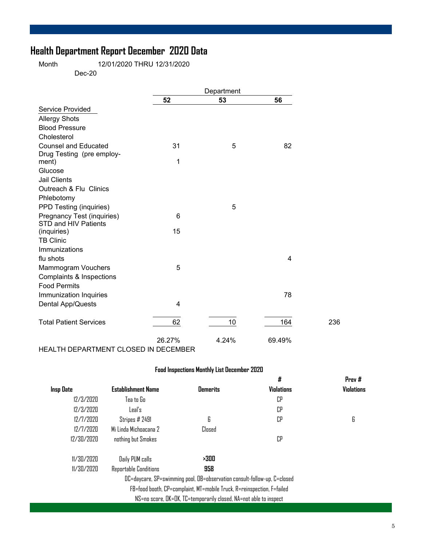### **Health Department Report December 2020 Data**

Month 12/01/2020 THRU 12/31/2020 Dec-20

|                               |                         | Department |        |     |
|-------------------------------|-------------------------|------------|--------|-----|
|                               | 52                      | 53         | 56     |     |
| Service Provided              |                         |            |        |     |
| <b>Allergy Shots</b>          |                         |            |        |     |
| <b>Blood Pressure</b>         |                         |            |        |     |
| Cholesterol                   |                         |            |        |     |
| <b>Counsel and Educated</b>   | 31                      | 5          | 82     |     |
| Drug Testing (pre employ-     |                         |            |        |     |
| ment)                         | 1                       |            |        |     |
| Glucose                       |                         |            |        |     |
| <b>Jail Clients</b>           |                         |            |        |     |
| Outreach & Flu Clinics        |                         |            |        |     |
| Phlebotomy                    |                         |            |        |     |
| PPD Testing (inquiries)       |                         | 5          |        |     |
| Pregnancy Test (inquiries)    | 6                       |            |        |     |
| STD and HIV Patients          |                         |            |        |     |
| (inquiries)                   | 15                      |            |        |     |
| <b>TB Clinic</b>              |                         |            |        |     |
| Immunizations                 |                         |            |        |     |
| flu shots                     |                         |            | 4      |     |
| <b>Mammogram Vouchers</b>     | 5                       |            |        |     |
| Complaints & Inspections      |                         |            |        |     |
| <b>Food Permits</b>           |                         |            |        |     |
| Immunization Inquiries        |                         |            | 78     |     |
| Dental App/Quests             | $\overline{\mathbf{4}}$ |            |        |     |
|                               |                         |            |        |     |
| <b>Total Patient Services</b> | 62                      | 10         | 164    | 236 |
|                               | 26.27%                  | 4.24%      | 69.49% |     |

HEALTH DEPARTMENT CLOSED IN DECEMBER

#### **Food Inspections Monthly List December 2020**

|            |                           |                                                                          | #                 | Prev#             |
|------------|---------------------------|--------------------------------------------------------------------------|-------------------|-------------------|
| Insp Date  | <b>Establishment Name</b> | <b>Demerits</b>                                                          | <b>Violations</b> | <b>Violations</b> |
| 12/3/2020  | Tea to Go                 |                                                                          | CP                |                   |
| 12/3/2020  | Leal's                    |                                                                          | CP                |                   |
| 12/7/2020  | Stripes # 2491            | 6                                                                        | CP                | 6                 |
| 12/7/2020  | Milinda Michoacana 7      | Closed                                                                   |                   |                   |
| 12/30/2020 | nothing but Smokes        |                                                                          | СP                |                   |
| 11/30/2020 | Daily PUM calls           | >300                                                                     |                   |                   |
| 11/30/2020 | Reportable Conditions     | 958                                                                      |                   |                   |
|            |                           | DC=daycare, SP=swimming pool, OB=observation consult-follow-up, C=closed |                   |                   |
|            |                           | FB=food booth, CP=complaint, MT=mobile Truck, R=reinspection, F=failed   |                   |                   |
|            |                           | NS=no score, OK=OK, TC=temporarily closed, NA=not able to inspect        |                   |                   |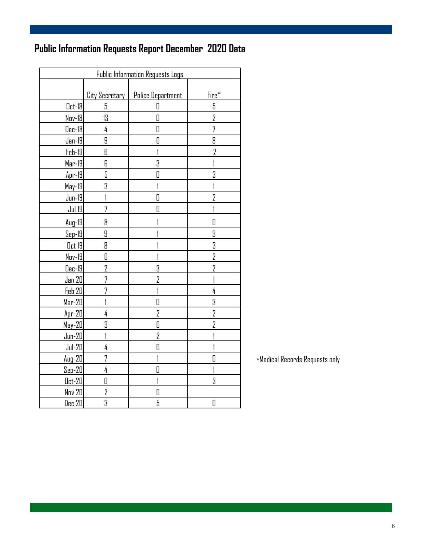## **Public Information Requests Report December 2020 Data**

| <b>Public Information Requests Logs</b> |                |                          |                |  |  |  |
|-----------------------------------------|----------------|--------------------------|----------------|--|--|--|
|                                         |                |                          |                |  |  |  |
|                                         | City Secretary | <b>Police Department</b> | Fire*          |  |  |  |
| $0$ ct-18                               | 5              | 0                        | 5              |  |  |  |
| Nov-18                                  | 13             | 0                        | $\overline{2}$ |  |  |  |
| Dec-18                                  | 4              | 0                        | 7              |  |  |  |
| Jan-19                                  | 9              | 0                        | 8              |  |  |  |
| $Feb-19$                                | 6              | 1                        | $\overline{2}$ |  |  |  |
| $Mar-19$                                | 6              | 3                        |                |  |  |  |
| $Apr-19$                                | 5              | 0                        | 3              |  |  |  |
| $May-19$                                | 3              |                          |                |  |  |  |
| $Jun-19$                                |                | O                        | 2              |  |  |  |
| Jul 19                                  | 7              | D                        |                |  |  |  |
| Aug-19                                  | 8              |                          | 0              |  |  |  |
| <u>Sep-19</u>                           | 9              |                          | 3              |  |  |  |
| <u>Oct</u> 19                           | 8              |                          | 3              |  |  |  |
| Nov-19                                  | O              |                          | 2              |  |  |  |
| $Dec-19$                                | 2              | 3                        | 2              |  |  |  |
| <u>Jan 20</u>                           | 7              | $\overline{2}$           |                |  |  |  |
| Feb 20                                  | 7              |                          | 4              |  |  |  |
| $Mar-20$                                |                | 0                        | 3              |  |  |  |
| Apr-20                                  | 4              | $\overline{2}$           | $\overline{2}$ |  |  |  |
| May-20                                  | 3              | O                        | 2              |  |  |  |
| $Jun-20$                                |                | $\overline{2}$           |                |  |  |  |
| $Jul-20$                                | 4              | O                        |                |  |  |  |
| $Aug-20$                                | 7              | 1                        | D              |  |  |  |
| <u>Sep-20</u>                           | 4              | O                        |                |  |  |  |
| $0ct-20$                                | O              | I                        | 3              |  |  |  |
| Nov 20                                  | $\overline{2}$ | 0                        |                |  |  |  |
| $Dec$ 20                                | 3              | 5                        | 0              |  |  |  |

\*Medical Records Requests only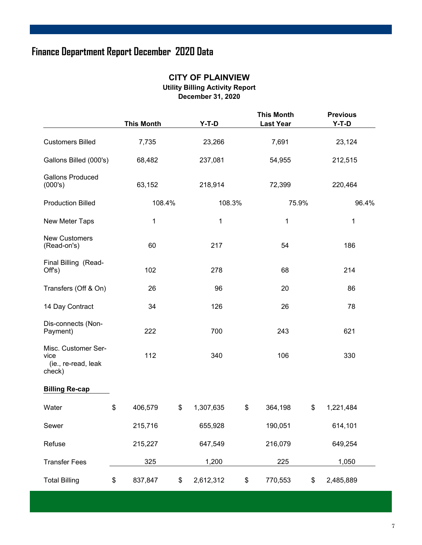### **Finance Department Report December 2020 Data**

|                                                              | <b>This Month</b> | $Y-T-D$         | <b>This Month</b><br><b>Last Year</b> |    | <b>Previous</b><br>$Y-T-D$ |
|--------------------------------------------------------------|-------------------|-----------------|---------------------------------------|----|----------------------------|
| <b>Customers Billed</b>                                      | 7,735             | 23,266          | 7,691                                 |    | 23,124                     |
| Gallons Billed (000's)                                       | 68,482            | 237,081         | 54,955                                |    | 212,515                    |
| <b>Gallons Produced</b><br>(000's)                           | 63,152            | 218,914         | 72,399                                |    | 220,464                    |
| <b>Production Billed</b>                                     | 108.4%            | 108.3%          | 75.9%                                 |    | 96.4%                      |
| New Meter Taps                                               | 1                 | 1               | 1                                     |    | 1                          |
| <b>New Customers</b><br>(Read-on's)                          | 60                | 217             | 54                                    |    | 186                        |
| Final Billing (Read-<br>Offs)                                | 102               | 278             | 68                                    |    | 214                        |
| Transfers (Off & On)                                         | 26                | 96              | 20                                    |    | 86                         |
| 14 Day Contract                                              | 34                | 126             | 26                                    |    | 78                         |
| Dis-connects (Non-<br>Payment)                               | 222               | 700             | 243                                   |    | 621                        |
| Misc. Customer Ser-<br>vice<br>(ie., re-read, leak<br>check) | 112               | 340             | 106                                   |    | 330                        |
| <b>Billing Re-cap</b>                                        |                   |                 |                                       |    |                            |
| Water                                                        | \$<br>406,579     | \$<br>1,307,635 | \$<br>364,198                         | S. | 1,221,484                  |
| Sewer                                                        | 215,716           | 655,928         | 190,051                               |    | 614,101                    |
| Refuse                                                       | 215,227           | 647,549         | 216,079                               |    | 649,254                    |
| <b>Transfer Fees</b>                                         | 325               | 1,200           | 225                                   |    | 1,050                      |
| <b>Total Billing</b>                                         | \$<br>837,847     | \$<br>2,612,312 | \$<br>770,553                         | \$ | 2,485,889                  |

#### **CITY OF PLAINVIEW Utility Billing Activity Report December 31, 2020**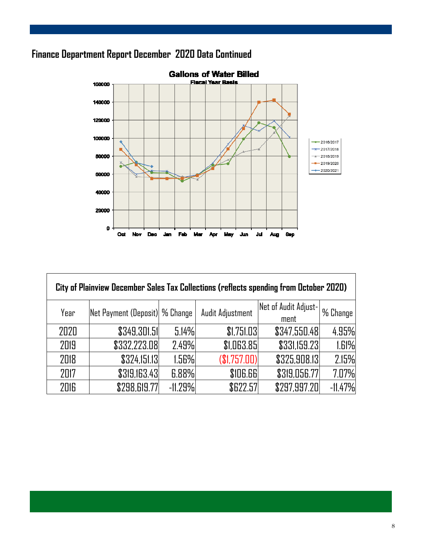### **Finance Department Report December 2020 Data Continued**



| City of Plainview December Sales Tax Collections (reflects spending from October 2020) |                                 |           |                                      |                              |           |  |  |  |  |
|----------------------------------------------------------------------------------------|---------------------------------|-----------|--------------------------------------|------------------------------|-----------|--|--|--|--|
| Year                                                                                   | Net Payment (Deposit)  % Change |           | Audit Adjustment                     | Net of Audit Adjust-<br>ment | % Change  |  |  |  |  |
| 2020                                                                                   | \$349,301.51                    | 5.14%     | \$1,751.03                           | \$347,550.48                 | 4.95%     |  |  |  |  |
| 2019                                                                                   | \$332,223.08                    | 2.49%     | \$1,063.85                           | \$331,159.23                 | 1.61%     |  |  |  |  |
| 2018                                                                                   | \$324,151.13                    | 1.56%     | (\$1,757.00)                         | \$325,908.13                 | 2.15%     |  |  |  |  |
| 2017                                                                                   | \$319,163.43                    | 6.88%     | <b><i><u><i>SIDG.GGI</i></u></i></b> | \$319,056.77                 | 7.07%     |  |  |  |  |
| 2016                                                                                   | \$298,619.77                    | $-11.29%$ | \$622.57                             | \$297,997.20                 | $-11.47%$ |  |  |  |  |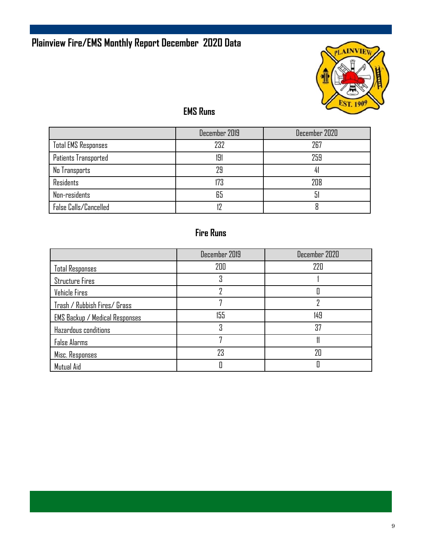### **Plainview Fire/EMS Monthly Report December 2020 Data**



### **EMS Runs**

|                            | December 2019 | December 2020 |
|----------------------------|---------------|---------------|
| <b>Total EMS Responses</b> | 232           | 267           |
| Patients Transported       | 191           | 259           |
| No Transports              | 29            |               |
| <b>Residents</b>           | 173           | 208           |
| Non-residents              | 65            | 51            |
| False Calls/Cancelled      |               |               |

### **Fire Runs**

|                                       | December 2019 | December 2020 |
|---------------------------------------|---------------|---------------|
| <b>Total Responses</b>                | 200           | 220           |
| <b>Structure Fires</b>                |               |               |
| Vehicle Fires                         |               | 0             |
| Trash / Rubbish Fires/ Grass          |               |               |
| <b>EMS Backup / Medical Responses</b> | 155           | 149           |
| Hazardous conditions                  | Χ             | 37            |
| <b>False Alarms</b>                   | 7             |               |
| Misc. Responses                       | 23            | 20            |
| Mutual Aid                            |               |               |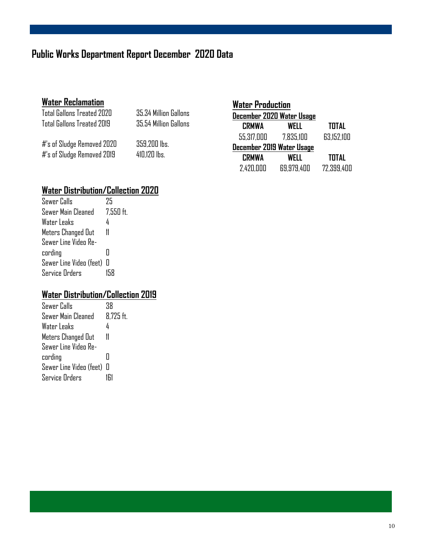### **Public Works Department Report December 2020 Data**

### **Water Reclamation**

| Total Gallons Treated 2020 | 35.34 Million Gallons | <b>December</b> |
|----------------------------|-----------------------|-----------------|
| Total Gallons Treated 2019 | 35.54 Million Gallons | <b>CRMW</b>     |
| #'s of Sludge Removed 2020 | 359,200 lbs.          | 55,317,0        |
|                            |                       | <b>December</b> |
| #'s of Sludge Removed 2019 | $410.120$ lbs.        | <b>LGMM</b>     |

| <b>Water Production</b>   |                           |              |  |
|---------------------------|---------------------------|--------------|--|
|                           | December 2020 Water Usage |              |  |
| <b>CRMWA</b>              | <b>WELL</b>               | <b>TOTAL</b> |  |
| 55,317,000                | 7.835.100                 | 63,152,100   |  |
| December 2019 Water Usage |                           |              |  |
| <b>CRMWA</b>              | WELL                      | <b>TOTAL</b> |  |
| 2,420,000                 | 69,979,400                | 72,399,400   |  |

### **Water Distribution/Collection 2020**

| Sewer Calls               | 75          |
|---------------------------|-------------|
| Sewer Main Cleaned        | $7,550$ ft. |
| Water Leaks               | 4           |
| Meters Changed Out        | 11          |
| Sewer Line Video Re-      |             |
| cording                   | П           |
| Sewer Line Video (feet) 0 |             |
| Service Orders            |             |

### **Water Distribution/Collection 2019**

| Sewer Calls             | 38           |
|-------------------------|--------------|
| Sewer Main Cleaned      | $8,725$ ft.  |
| Water Leaks             | 4            |
| Meters Changed Out      | 11           |
| Sewer Line Video Re-    |              |
| cording                 | П            |
| Sewer Line Video (feet) | $\mathbb{I}$ |
| <b>Service Orders</b>   |              |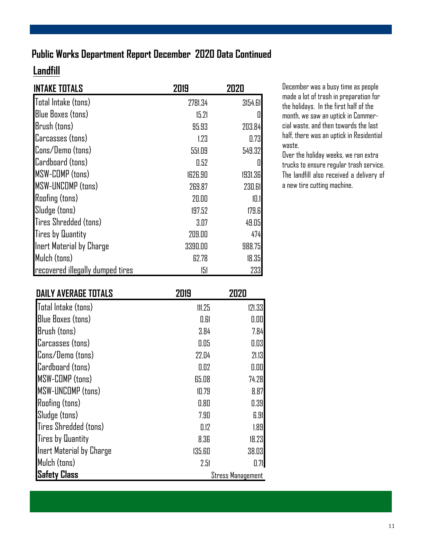### **Public Works Department Report December 2020 Data Continued**

### **Landfill**

| <b>INTAKE TOTALS</b>             | 2019    | 2020    |
|----------------------------------|---------|---------|
| Total Intake (tons)              | 2781.34 | 3154.61 |
| <b>Blue Boxes (tons)</b>         | 15.21   | 0       |
| Brush (tons)                     | 95.93   | 203.84  |
| Carcasses (tons)                 | 1.23    | 0.73    |
| Cons/Demo (tons)                 | 551.09  | 549.32  |
| Cardboard (tons)                 | 0.52    | 0       |
| <b>MSW-COMP</b> (tons)           | 1626.90 | 1931.36 |
| MSW-UNCOMP (tons)                | 269.87  | 230.61  |
| <b>Roofing (tons)</b>            | 20.00   | 10.1    |
| Sludge (tons)                    | 197.52  | 179.6   |
| Tires Shredded (tons)            | 3.07    | 49.05   |
| <b>Tires by Quantity</b>         | 209.00  | 474     |
| Inert Material by Charge         | 3390.00 | 988.75  |
| Mulch (tons)                     | 62.78   | 18.35   |
| recovered illegally dumped tires | 151     | 233     |

December was a busy time as people made a lot of trash in preparation for the holidays. In the first half of the month, we saw an uptick in Commercial waste, and then towards the last half, there was an uptick in Residential waste.

Over the holiday weeks, we ran extra trucks to ensure regular trash service. The landfill also received a delivery of a new tire cutting machine.

| <b>DAILY AVERAGE TOTALS</b> | 2019   | 2020                     |
|-----------------------------|--------|--------------------------|
| Total Intake (tons)         | 111.25 | 121.33                   |
| <b>Blue Boxes (tons)</b>    | 0.61   | 0.00                     |
| Brush (tons)                | 3.84   | 7.84                     |
| Carcasses (tons)            | 0.05   | 0.03                     |
| Cons/Demo (tons)            | 22.04  | 21.13                    |
| Cardboard (tons)            | 0.02   | 0.00                     |
| <b>MSW-COMP</b> (tons)      | 65.08  | 74.28                    |
| MSW-UNCOMP (tons)           | 10.79  | 8.87                     |
| <b>Roofing (tons)</b>       | 0.80   | 0.39                     |
| Sludge (tons)               | 7.90   | 6.91                     |
| Tires Shredded (tons)       | 0.12   | 1.89                     |
| <b>Tires by Quantity</b>    | 8.36   | 18.23                    |
| Inert Material by Charge    | 135.60 | 38.03                    |
| Mulch (tons)                | 2.51   | 0.71                     |
| <b>Safety Class</b>         |        | <b>Stress Management</b> |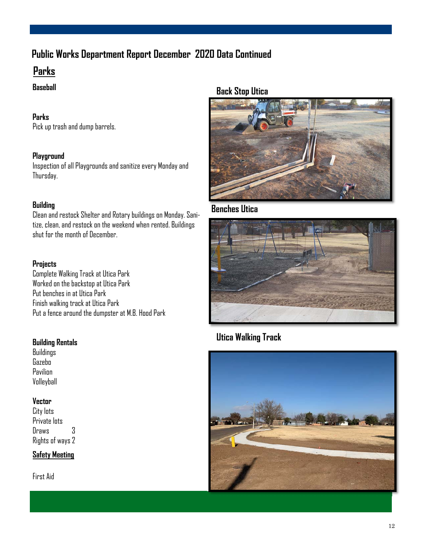### **Public Works Department Report December 2020 Data Continued**

### **Parks**

#### **Baseball**

#### **Parks**

Pick up trash and dump barrels.

#### **Playground**

Inspection of all Playgrounds and sanitize every Monday and Thursday.

#### **Building**

Clean and restock Shelter and Rotary buildings on Monday. Sanitize, clean, and restock on the weekend when rented. Buildings shut for the month of December.

#### **Projects**

Complete Walking Track at Utica Park Worked on the backstop at Utica Park Put benches in at Utica Park Finish walking track at Utica Park Put a fence around the dumpster at M.B. Hood Park

#### **Building Rentals**

Buildings Gazebo Pavilion Volleyball

#### **Vector**

City lots Private lots Draws 3 Rights of ways 2

#### **Safety Meeting**

First Aid

#### **Back Stop Utica**



### **Benches Utica**



### **Utica Walking Track**

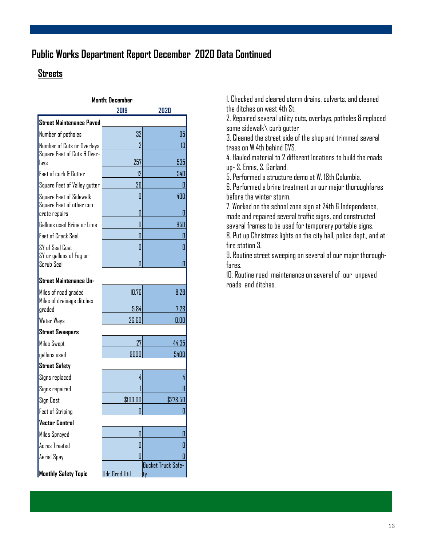### **Public Works Department Report December 2020 Data Continued**

#### **Streets**

| <b>Month: December</b>                     |          |                    |
|--------------------------------------------|----------|--------------------|
|                                            | 2019     | 2020               |
| <b>Street Maintenance Paved</b>            |          |                    |
| Number of potholes                         | 32       | 95                 |
| Number of Cuts or Overlays                 | 2        | 3                  |
| Square Feet of Cuts & Over-<br>lays        | 257      | 535                |
| Feet of curb & Gutter                      | 12       | 540                |
| Square Feet of Valley gutter               | 36       | 0                  |
| Square Feet of Sidewalk                    | П        | 400                |
| Square Feet of other con-<br>crete repairs | 0        | 0                  |
| Gallons used Brine or Lime                 | L        | 950                |
| Feet of Crack Seal                         | 0        | 0                  |
| SY of Seal Coat                            | 0        | 0                  |
| SY or gallons of Fog or<br>Scrub Seal      |          | 0                  |
| Street Maintenance Un-                     |          |                    |
| Miles of road graded                       | 10.76    | 8.28               |
| Miles of drainage ditches<br>graded        | 5.84     | 7.28               |
| Water Ways                                 | 26.60    | 0.00               |
| <b>Street Sweepers</b>                     |          |                    |
| <b>Miles Swept</b>                         | 27       | 44.35              |
| gallons used                               | 9000     | 5400               |
| <b>Street Safety</b>                       |          |                    |
| Signs replaced                             | 4        | 4                  |
| Signs repaired                             |          | 11                 |
| Sign Cost                                  | \$100.00 | \$278.50           |
| <b>Feet of Striping</b>                    |          | 0                  |
| <b>Vector Control</b>                      |          |                    |
| Miles Sprayed                              | Ш        | 0                  |
| <b>Acres Treated</b>                       | 0        | 0                  |
| Aerial Spay                                | Π        | 0                  |
|                                            |          | Bucket Truck Safe- |

ty

**Monthly Safety Topic | Udr Grnd Util** 

1. Checked and cleared storm drains, culverts, and cleaned the ditches on west 4th St.

2. Repaired several utility cuts, overlays, potholes & replaced some sidewalk\ curb gutter

3. Cleaned the street side of the shop and trimmed several trees on W.4th behind CVS.

4. Hauled material to 2 different locations to build the roads up- S. Ennis, S. Garland.

5. Performed a structure demo at W. 18th Columbia.

6. Performed a brine treatment on our major thoroughfares before the winter storm.

7. Worked on the school zone sign at 24th & Independence, made and repaired several traffic signs, and constructed several frames to be used for temporary portable signs. 8. Put up Christmas lights on the city hall, police dept., and at

fire station 3.

9. Routine street sweeping on several of our major thoroughfares.

10. Routine road maintenance on several of our unpaved roads and ditches.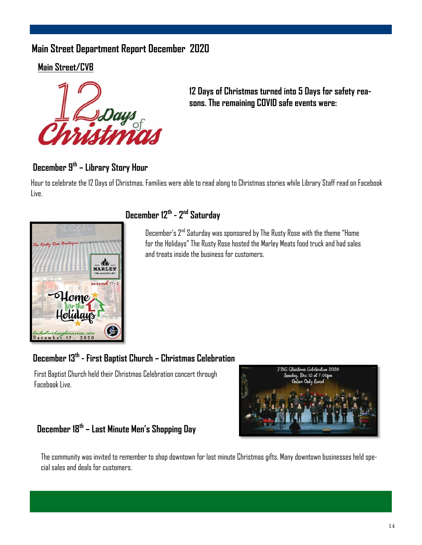### **Main Street Department Report December 2020**

**Main Street/CVB** 



**12 Days of Christmas turned into 5 Days for safety reasons. The remaining COVID safe events were:** 

### **December 9th – Library Story Hour**

Hour to celebrate the 12 Days of Christmas. Families were able to read along to Christmas stories while Library Staff read on Facebook Live.



### **December 12th - 2nd Saturday**

December's 2nd Saturday was sponsored by The Rusty Rose with the theme "Home for the Holidays" The Rusty Rose hosted the Marley Meats food truck and had sales and treats inside the business for customers.

### **December 13th - First Baptist Church – Christmas Celebration**

First Baptist Church held their Christmas Celebration concert through Facebook Live.



### **December 18th – Last Minute Men's Shopping Day**

The community was invited to remember to shop downtown for last minute Christmas gifts. Many downtown businesses held special sales and deals for customers.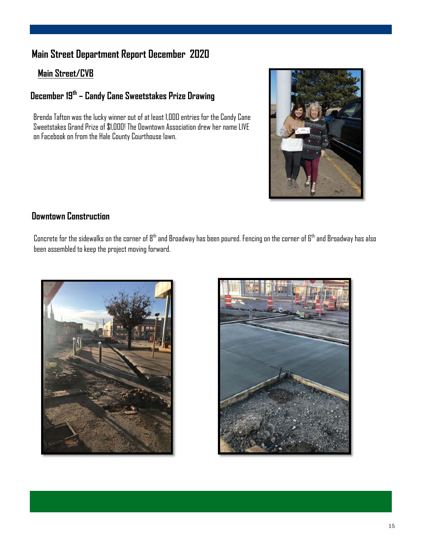### **Main Street Department Report December 2020**

#### **Main Street/CVB**

### **December 19th – Candy Cane Sweetstakes Prize Drawing**

Brenda Tafton was the lucky winner out of at least 1,000 entries for the Candy Cane Sweetstakes Grand Prize of \$1,000! The Downtown Association drew her name LIVE on Facebook on from the Hale County Courthouse lawn.



#### **Downtown Construction**

Concrete for the sidewalks on the corner of  $8^{\text{th}}$  and Broadway has been poured. Fencing on the corner of  $6^{\text{th}}$  and Broadway has also been assembled to keep the project moving forward.



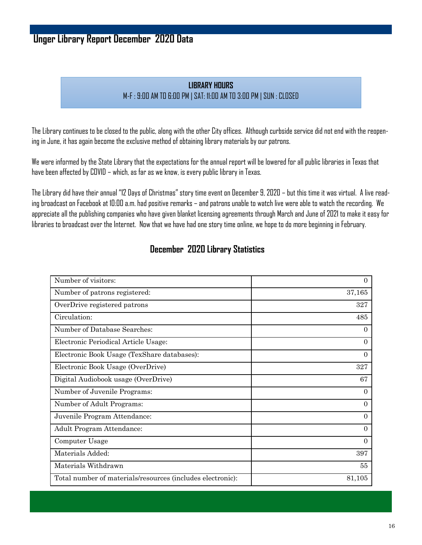### **Unger Library Report December 2020 Data**

#### **LIBRARY HOURS** M-F : 9:00 AM TO 6:00 PM | SAT: 11:00 AM TO 3:00 PM | SUN : CLOSED

The Library continues to be closed to the public, along with the other City offices. Although curbside service did not end with the reopening in June, it has again become the exclusive method of obtaining library materials by our patrons.

We were informed by the State Library that the expectations for the annual report will be lowered for all public libraries in Texas that have been affected by COVID – which, as far as we know, is every public library in Texas.

The Library did have their annual "12 Days of Christmas" story time event on December 9, 2020 – but this time it was virtual. A live reading broadcast on Facebook at 10:00 a.m. had positive remarks – and patrons unable to watch live were able to watch the recording. We appreciate all the publishing companies who have given blanket licensing agreements through March and June of 2021 to make it easy for libraries to broadcast over the Internet. Now that we have had one story time online, we hope to do more beginning in February.

| Number of visitors:                                        | $\overline{0}$ |
|------------------------------------------------------------|----------------|
| Number of patrons registered:                              | 37,165         |
| OverDrive registered patrons                               | 327            |
| Circulation:                                               | 485            |
| Number of Database Searches:                               | $\overline{0}$ |
| Electronic Periodical Article Usage:                       | $\overline{0}$ |
| Electronic Book Usage (TexShare databases):                | $\Omega$       |
| Electronic Book Usage (OverDrive)                          | 327            |
| Digital Audiobook usage (OverDrive)                        | 67             |
| Number of Juvenile Programs:                               | $\Omega$       |
| Number of Adult Programs:                                  | $\theta$       |
| Juvenile Program Attendance:                               | $\theta$       |
| Adult Program Attendance:                                  | $\Omega$       |
| Computer Usage                                             | $\Omega$       |
| Materials Added:                                           | 397            |
| Materials Withdrawn                                        | 55             |
| Total number of materials/resources (includes electronic): | 81,105         |

#### **December 2020 Library Statistics**